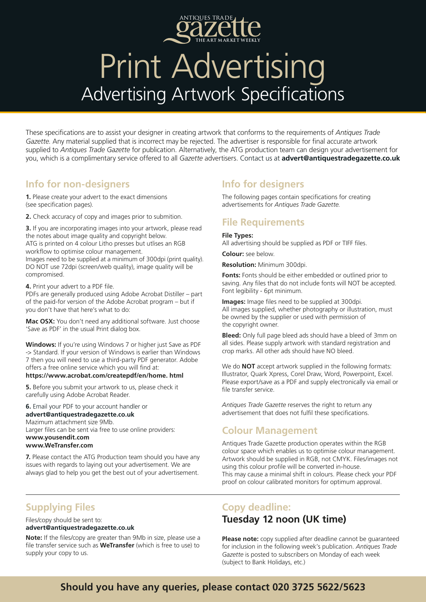

## Print Advertising Advertising Artwork Specifications

These specifications are to assist your designer in creating artwork that conforms to the requirements of *Antiques Trade Gazette*. Any material supplied that is incorrect may be rejected. The advertiser is responsible for final accurate artwork supplied to *Antiques Trade Gazette* for publication. Alternatively, the ATG production team can design your advertisement for you, which is a complimentary service offered to all *Gazette* advertisers. Contact us at **advert@antiquestradegazette.co.uk**

### **Info for non-designers**

**1.** Please create your advert to the exact dimensions (see specification pages).

**2.** Check accuracy of copy and images prior to submition.

**3.** If you are incorporating images into your artwork, please read the notes about image quality and copyright below. ATG is printed on 4 colour Litho presses but utlises an RGB workflow to optimise colour management. Images need to be supplied at a minimum of 300dpi (print quality). DO NOT use 72dpi (screen/web quality), image quality will be compromised.

**4.** Print your advert to a PDF file.

PDFs are generally produced using Adobe Acrobat Distiller – part of the paid-for version of the Adobe Acrobat program – but if you don't have that here's what to do:

**Mac OSX:** You don't need any additional software. Just choose 'Save as PDF' in the usual Print dialog box.

**Windows:** If you're using Windows 7 or higher just Save as PDF -> Standard. If your version of Windows is earlier than Windows 7 then you will need to use a third-party PDF generator. Adobe offers a free online service which you will find at:

#### **https://www.acrobat.com/createpdf/en/home. html**

**5.** Before you submit your artwork to us, please check it carefully using Adobe Acrobat Reader.

#### **6.** Email your PDF to your account handler or **advert@antiquestradegazette.co.uk**

Mazimum attachment size 9Mb. Larger files can be sent via free to use online providers: **www.yousendit.com**

#### **www.WeTransfer.com**

**7.** Please contact the ATG Production team should you have any issues with regards to laying out your advertisement. We are always glad to help you get the best out of your advertisement.

## **Supplying Files**

#### Files/copy should be sent to: **advert@antiquestradegazette.co.uk**

**Note:** If the files/copy are greater than 9Mb in size, please use a file transfer service such as **WeTransfer** (which is free to use) to supply your copy to us.

## **Info for designers**

The following pages contain specifications for creating advertisements for *Antiques Trade Gazette.* 

## **File Requirements**

#### **File Types:**

All advertising should be supplied as PDF or TIFF files.

**Colour:** see below.

**Resolution:** Minimum 300dpi.

**Fonts:** Fonts should be either embedded or outlined prior to saving. Any files that do not include fonts will NOT be accepted. Font legibility - 6pt minimum.

**Images:** Image files need to be supplied at 300dpi. All images supplied, whether photography or illustration, must be owned by the supplier or used with permission of the copyright owner.

**Bleed:** Only full page bleed ads should have a bleed of 3mm on all sides. Please supply artwork with standard registration and crop marks. All other ads should have NO bleed.

We do **NOT** accept artwork supplied in the following formats: Illustrator, Quark Xpress, Corel Draw, Word, Powerpoint, Excel. Please export/save as a PDF and supply electronically via email or file transfer service.

*Antiques Trade Gazette* reserves the right to return any advertisement that does not fulfil these specifications.

### **Colour Management**

Antiques Trade Gazette production operates within the RGB colour space which enables us to optimise colour management. Artwork should be supplied in RGB, not CMYK. Files/images not using this colour profile will be converted in-house. This may cause a minimal shift in colours. Please check your PDF proof on colour calibrated monitors for optimum approval.

### **Copy deadline: Tuesday 12 noon (UK time)**

**Please note:** copy supplied after deadline cannot be guaranteed for inclusion in the following week's publication. *Antiques Trade Gazette* is posted to subscribers on Monday of each week (subject to Bank Holidays, etc.)

## **Should you have any queries, please contact 020 3725 5622/5623**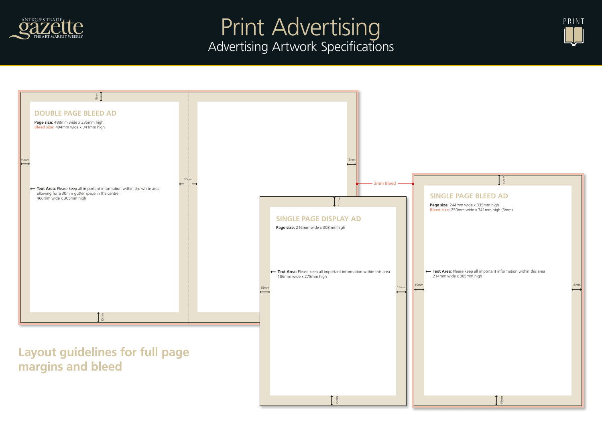## **SINGLE PAGE BLEED AD**

**Page size:** 244mm wide x 335mm high **Bleed size:** 250mm wide x 341mm high (3mm)

← Text Area: Please keep all important information within this area 214mm wide x 305mm high







## $\int_{\text{5mm}}$

# Print Advertising Advertising Artwork Specifications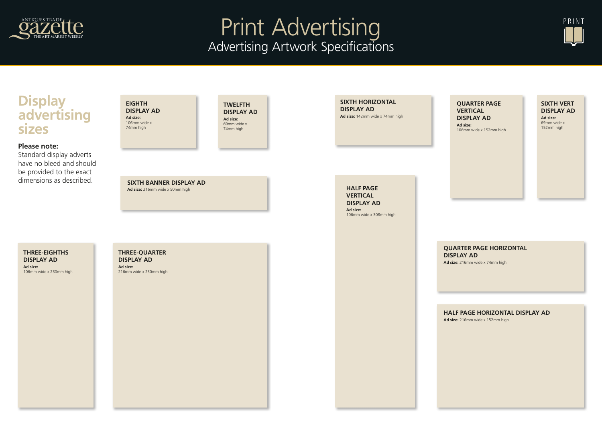**HALF PAGE VERTICAL DISPLAY AD Ad size:**  106mm wide x 308mm high

#### **QUARTER PAGE VERTICAL DISPLAY AD**

**Ad size:**  106mm wide x 152mm high

**HALF PAGE HORIZONTAL DISPLAY AD**

**Ad size:** 216mm wide x 152mm high

#### **QUARTER PAGE HORIZONTAL DISPLAY AD**

**Ad size:** 216mm wide x 74mm high

**SIXTH HORIZONTAL DISPLAY AD Ad size:** 142mm wide x 74mm high

#### **SIXTH VERT DISPLAY AD**

**Ad size:**  69mm wide x 152mm high

### **SIXTH BANNER DISPLAY AD**

**Ad size:** 216mm wide x 50mm high

**Three-EightHs DISPLAY AD Ad size:**  106mm wide x 230mm high

#### **Three-QUARTER DISPLAY AD**

**Ad size:**  216mm wide x 230mm high

#### **Twelfth DISPLAY AD Ad size:**

69mm wide x 74mm high

**EIGHTH DISPLAY AD Ad size:**  106mm wide x 74mm high

## **Display advertising sizes**

### **Please note:**

Standard display adverts have no bleed and should be provided to the exact dimensions as described.





## Print Advertising Advertising Artwork Specifications